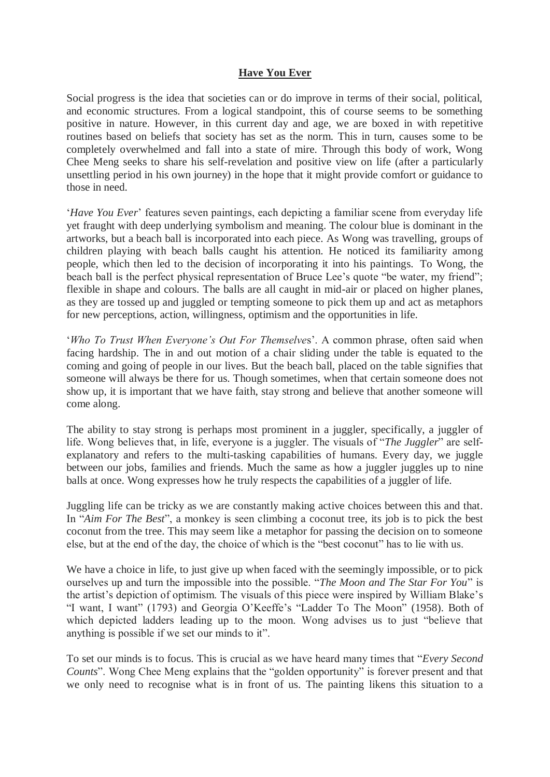## **Have You Ever**

Social progress is the idea that societies can or do improve in terms of their social, political, and economic structures. From a logical standpoint, this of course seems to be something positive in nature. However, in this current day and age, we are boxed in with repetitive routines based on beliefs that society has set as the norm. This in turn, causes some to be completely overwhelmed and fall into a state of mire. Through this body of work, Wong Chee Meng seeks to share his self-revelation and positive view on life (after a particularly unsettling period in his own journey) in the hope that it might provide comfort or guidance to those in need.

'*Have You Ever*' features seven paintings, each depicting a familiar scene from everyday life yet fraught with deep underlying symbolism and meaning. The colour blue is dominant in the artworks, but a beach ball is incorporated into each piece. As Wong was travelling, groups of children playing with beach balls caught his attention. He noticed its familiarity among people, which then led to the decision of incorporating it into his paintings. To Wong, the beach ball is the perfect physical representation of Bruce Lee's quote "be water, my friend"; flexible in shape and colours. The balls are all caught in mid-air or placed on higher planes, as they are tossed up and juggled or tempting someone to pick them up and act as metaphors for new perceptions, action, willingness, optimism and the opportunities in life.

'*Who To Trust When Everyone's Out For Themselve*s'. A common phrase, often said when facing hardship. The in and out motion of a chair sliding under the table is equated to the coming and going of people in our lives. But the beach ball, placed on the table signifies that someone will always be there for us. Though sometimes, when that certain someone does not show up, it is important that we have faith, stay strong and believe that another someone will come along.

The ability to stay strong is perhaps most prominent in a juggler, specifically, a juggler of life. Wong believes that, in life, everyone is a juggler. The visuals of "*The Juggler*" are selfexplanatory and refers to the multi-tasking capabilities of humans. Every day, we juggle between our jobs, families and friends. Much the same as how a juggler juggles up to nine balls at once. Wong expresses how he truly respects the capabilities of a juggler of life.

Juggling life can be tricky as we are constantly making active choices between this and that. In "*Aim For The Best*", a monkey is seen climbing a coconut tree, its job is to pick the best coconut from the tree. This may seem like a metaphor for passing the decision on to someone else, but at the end of the day, the choice of which is the "best coconut" has to lie with us.

We have a choice in life, to just give up when faced with the seemingly impossible, or to pick ourselves up and turn the impossible into the possible. "*The Moon and The Star For You*" is the artist's depiction of optimism. The visuals of this piece were inspired by William Blake's "I want, I want" (1793) and Georgia O'Keeffe's "Ladder To The Moon" (1958). Both of which depicted ladders leading up to the moon. Wong advises us to just "believe that anything is possible if we set our minds to it".

To set our minds is to focus. This is crucial as we have heard many times that "*Every Second Counts*". Wong Chee Meng explains that the "golden opportunity" is forever present and that we only need to recognise what is in front of us. The painting likens this situation to a